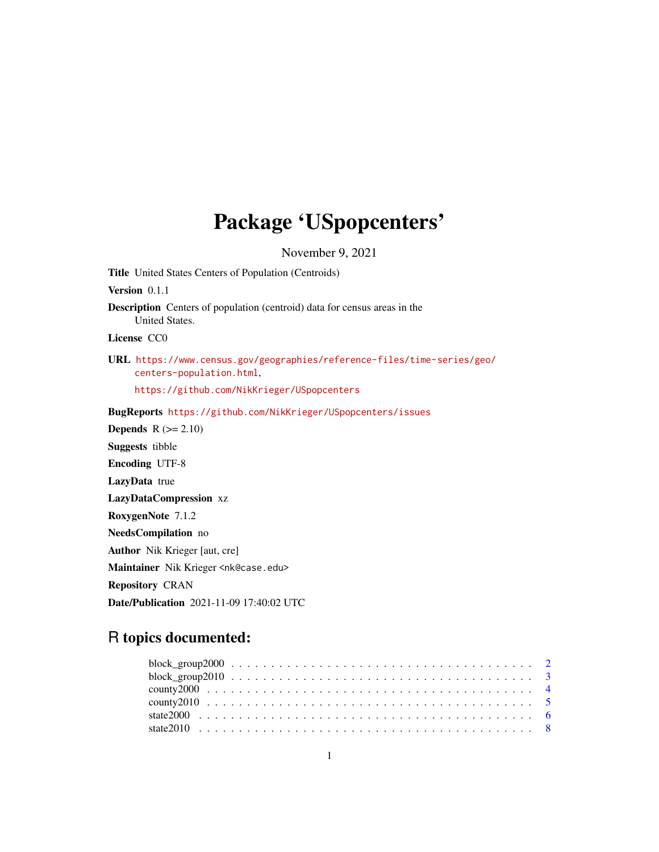## Package 'USpopcenters'

November 9, 2021

<span id="page-0-0"></span>Title United States Centers of Population (Centroids) Version 0.1.1 Description Centers of population (centroid) data for census areas in the United States. License CC0 URL [https://www.census.gov/geographies/reference-files/time-series/geo/](https://www.census.gov/geographies/reference-files/time-series/geo/centers-population.html) [centers-population.html](https://www.census.gov/geographies/reference-files/time-series/geo/centers-population.html), <https://github.com/NikKrieger/USpopcenters> BugReports <https://github.com/NikKrieger/USpopcenters/issues> **Depends**  $R (= 2.10)$ Suggests tibble Encoding UTF-8 LazyData true LazyDataCompression xz RoxygenNote 7.1.2 NeedsCompilation no Author Nik Krieger [aut, cre] Maintainer Nik Krieger <nk@case.edu> Repository CRAN Date/Publication 2021-11-09 17:40:02 UTC

## R topics documented: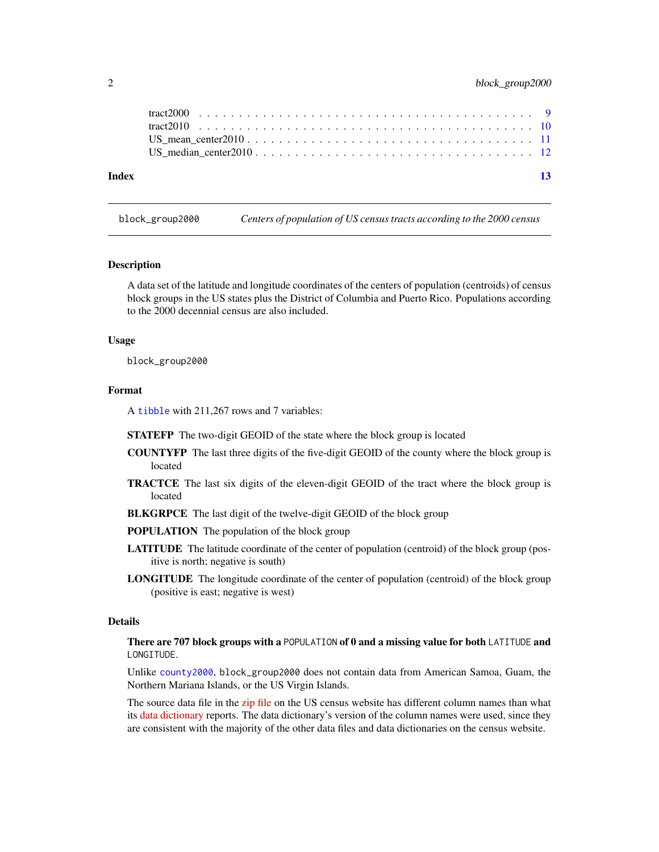<span id="page-1-0"></span>

| Index | $\overline{13}$ |  |
|-------|-----------------|--|
|       |                 |  |
|       |                 |  |
|       |                 |  |
|       |                 |  |

<span id="page-1-1"></span>block\_group2000 *Centers of population of US census tracts according to the 2000 census*

#### Description

A data set of the latitude and longitude coordinates of the centers of population (centroids) of census block groups in the US states plus the District of Columbia and Puerto Rico. Populations according to the 2000 decennial census are also included.

#### Usage

block\_group2000

#### Format

A [tibble](#page-0-0) with 211,267 rows and 7 variables:

STATEFP The two-digit GEOID of the state where the block group is located

- COUNTYFP The last three digits of the five-digit GEOID of the county where the block group is located
- TRACTCE The last six digits of the eleven-digit GEOID of the tract where the block group is located
- **BLKGRPCE** The last digit of the twelve-digit GEOID of the block group
- POPULATION The population of the block group
- LATITUDE The latitude coordinate of the center of population (centroid) of the block group (positive is north; negative is south)
- LONGITUDE The longitude coordinate of the center of population (centroid) of the block group (positive is east; negative is west)

#### Details

There are 707 block groups with a POPULATION of 0 and a missing value for both LATITUDE and LONGITUDE.

Unlike [county2000](#page-3-1), block\_group2000 does not contain data from American Samoa, Guam, the Northern Mariana Islands, or the US Virgin Islands.

The source data file in the [zip file](https://www2.census.gov/geo/docs/reference/cenpop2000/blkgrp/bg_popcen.zip) on the US census website has different column names than what its [data dictionary](https://www.census.gov/geographies/reference-files/time-series/geo/centers-population.2000.html) reports. The data dictionary's version of the column names were used, since they are consistent with the majority of the other data files and data dictionaries on the census website.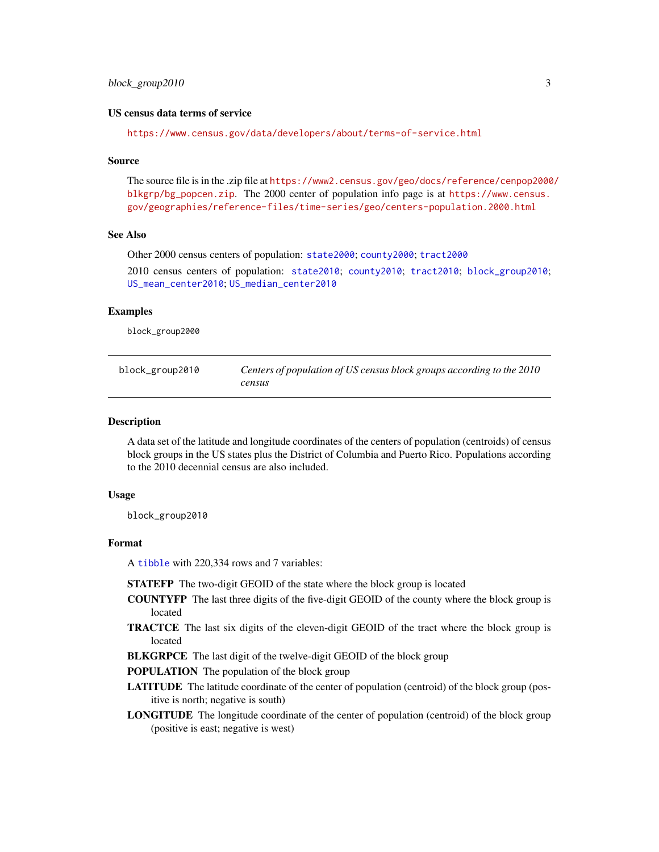#### <span id="page-2-0"></span>US census data terms of service

<https://www.census.gov/data/developers/about/terms-of-service.html>

#### Source

The source file is in the .zip file at [https://www2.census.gov/geo/docs/reference/cenpop2000](https://www2.census.gov/geo/docs/reference/cenpop2000/blkgrp/bg_popcen.zip)/ [blkgrp/bg\\_popcen.zip](https://www2.census.gov/geo/docs/reference/cenpop2000/blkgrp/bg_popcen.zip). The 2000 center of population info page is at [https://www.census.](https://www.census.gov/geographies/reference-files/time-series/geo/centers-population.2000.html) [gov/geographies/reference-files/time-series/geo/centers-population.2000.html](https://www.census.gov/geographies/reference-files/time-series/geo/centers-population.2000.html)

#### See Also

Other 2000 census centers of population: [state2000](#page-5-1); [county2000](#page-3-1); [tract2000](#page-8-1)

2010 census centers of population: [state2010](#page-7-1); [county2010](#page-4-1); [tract2010](#page-9-1); [block\\_group2010](#page-2-1); [US\\_mean\\_center2010](#page-10-1); [US\\_median\\_center2010](#page-11-1)

#### Examples

block\_group2000

<span id="page-2-1"></span>

| block_group2010 | Centers of population of US census block groups according to the 2010 |
|-----------------|-----------------------------------------------------------------------|
|                 | census                                                                |

#### Description

A data set of the latitude and longitude coordinates of the centers of population (centroids) of census block groups in the US states plus the District of Columbia and Puerto Rico. Populations according to the 2010 decennial census are also included.

#### Usage

block\_group2010

#### Format

A [tibble](#page-0-0) with 220,334 rows and 7 variables:

STATEFP The two-digit GEOID of the state where the block group is located

- COUNTYFP The last three digits of the five-digit GEOID of the county where the block group is located
- TRACTCE The last six digits of the eleven-digit GEOID of the tract where the block group is located

BLKGRPCE The last digit of the twelve-digit GEOID of the block group

POPULATION The population of the block group

- LATITUDE The latitude coordinate of the center of population (centroid) of the block group (positive is north; negative is south)
- LONGITUDE The longitude coordinate of the center of population (centroid) of the block group (positive is east; negative is west)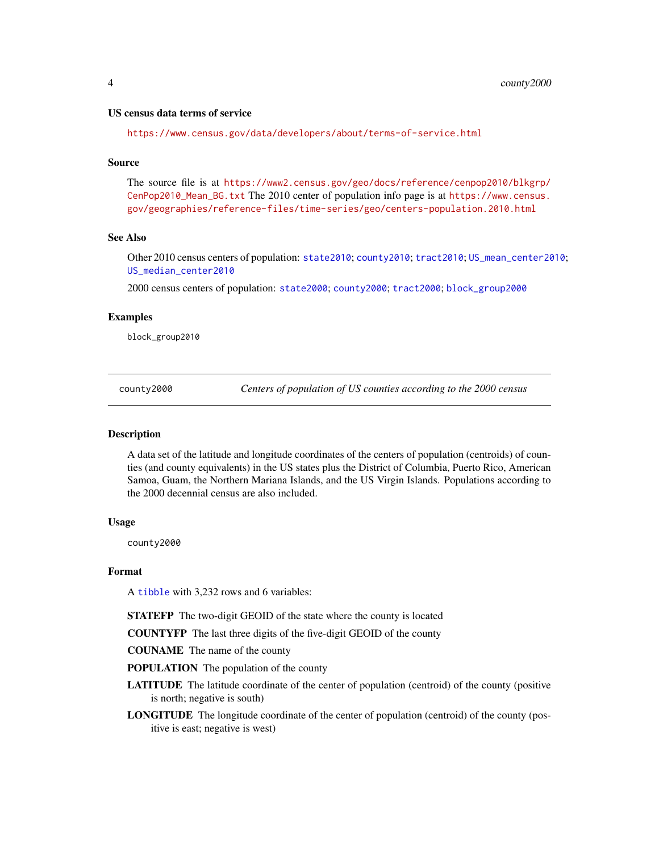#### <span id="page-3-0"></span>US census data terms of service

<https://www.census.gov/data/developers/about/terms-of-service.html>

#### Source

The source file is at [https://www2.census.gov/geo/docs/reference/cenpop2010/blkgrp/](https://www2.census.gov/geo/docs/reference/cenpop2010/blkgrp/CenPop2010_Mean_BG.txt) [CenPop2010\\_Mean\\_BG.txt](https://www2.census.gov/geo/docs/reference/cenpop2010/blkgrp/CenPop2010_Mean_BG.txt) The 2010 center of population info page is at [https://www.census.](https://www.census.gov/geographies/reference-files/time-series/geo/centers-population.2010.html) [gov/geographies/reference-files/time-series/geo/centers-population.2010.html](https://www.census.gov/geographies/reference-files/time-series/geo/centers-population.2010.html)

#### See Also

Other 2010 census centers of population: [state2010](#page-7-1); [county2010](#page-4-1); [tract2010](#page-9-1); [US\\_mean\\_center2010](#page-10-1); [US\\_median\\_center2010](#page-11-1)

2000 census centers of population: [state2000](#page-5-1); [county2000](#page-3-1); [tract2000](#page-8-1); [block\\_group2000](#page-1-1)

#### Examples

block\_group2010

<span id="page-3-1"></span>county2000 *Centers of population of US counties according to the 2000 census*

#### Description

A data set of the latitude and longitude coordinates of the centers of population (centroids) of counties (and county equivalents) in the US states plus the District of Columbia, Puerto Rico, American Samoa, Guam, the Northern Mariana Islands, and the US Virgin Islands. Populations according to the 2000 decennial census are also included.

#### Usage

county2000

#### Format

A [tibble](#page-0-0) with 3,232 rows and 6 variables:

STATEFP The two-digit GEOID of the state where the county is located

COUNTYFP The last three digits of the five-digit GEOID of the county

COUNAME The name of the county

POPULATION The population of the county

- LATITUDE The latitude coordinate of the center of population (centroid) of the county (positive is north; negative is south)
- LONGITUDE The longitude coordinate of the center of population (centroid) of the county (positive is east; negative is west)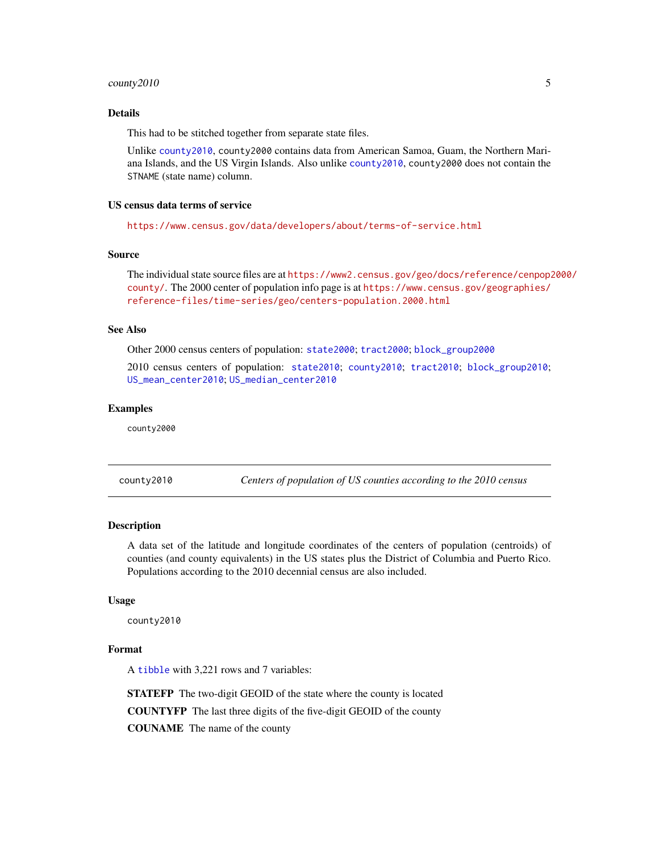#### <span id="page-4-0"></span>county2010 5

#### Details

This had to be stitched together from separate state files.

Unlike [county2010](#page-4-1), county2000 contains data from American Samoa, Guam, the Northern Mariana Islands, and the US Virgin Islands. Also unlike [county2010](#page-4-1), county2000 does not contain the STNAME (state name) column.

#### US census data terms of service

<https://www.census.gov/data/developers/about/terms-of-service.html>

#### Source

The individual state source files are at [https://www2.census.gov/geo/docs/reference/cenpop2](https://www2.census.gov/geo/docs/reference/cenpop2000/county/)000/ [county/](https://www2.census.gov/geo/docs/reference/cenpop2000/county/). The 2000 center of population info page is at [https://www.census.gov/geographies/](https://www.census.gov/geographies/reference-files/time-series/geo/centers-population.2000.html) [reference-files/time-series/geo/centers-population.2000.html](https://www.census.gov/geographies/reference-files/time-series/geo/centers-population.2000.html)

#### See Also

Other 2000 census centers of population: [state2000](#page-5-1); [tract2000](#page-8-1); [block\\_group2000](#page-1-1)

2010 census centers of population: [state2010](#page-7-1); [county2010](#page-4-1); [tract2010](#page-9-1); [block\\_group2010](#page-2-1); [US\\_mean\\_center2010](#page-10-1); [US\\_median\\_center2010](#page-11-1)

#### Examples

county2000

<span id="page-4-1"></span>county2010 *Centers of population of US counties according to the 2010 census*

#### Description

A data set of the latitude and longitude coordinates of the centers of population (centroids) of counties (and county equivalents) in the US states plus the District of Columbia and Puerto Rico. Populations according to the 2010 decennial census are also included.

#### Usage

county2010

#### Format

A [tibble](#page-0-0) with 3,221 rows and 7 variables:

STATEFP The two-digit GEOID of the state where the county is located

COUNTYFP The last three digits of the five-digit GEOID of the county

COUNAME The name of the county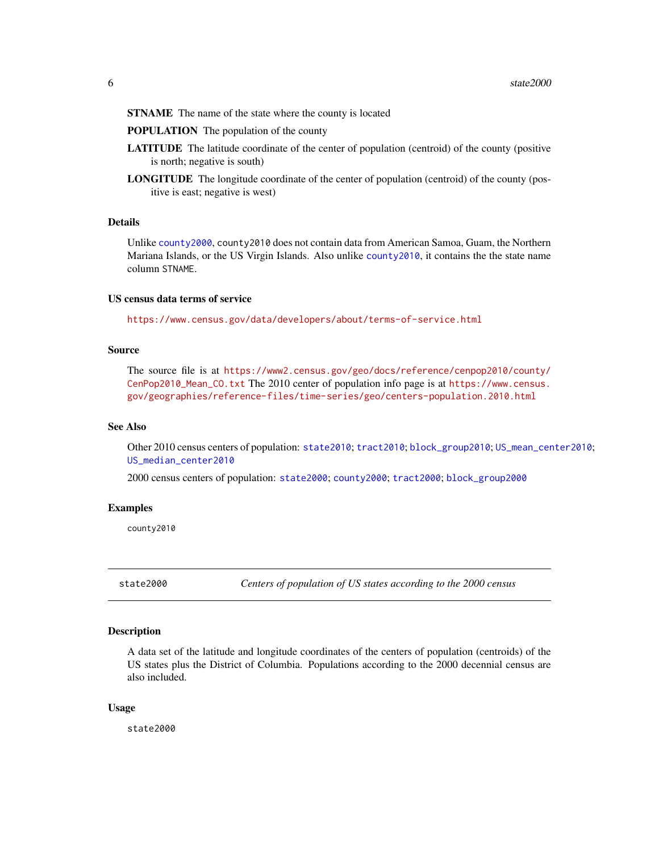<span id="page-5-0"></span>STNAME The name of the state where the county is located

POPULATION The population of the county

- LATITUDE The latitude coordinate of the center of population (centroid) of the county (positive is north; negative is south)
- LONGITUDE The longitude coordinate of the center of population (centroid) of the county (positive is east; negative is west)

#### Details

Unlike [county2000](#page-3-1), county2010 does not contain data from American Samoa, Guam, the Northern Mariana Islands, or the US Virgin Islands. Also unlike [county2010](#page-4-1), it contains the the state name column STNAME.

#### US census data terms of service

<https://www.census.gov/data/developers/about/terms-of-service.html>

#### Source

The source file is at [https://www2.census.gov/geo/docs/reference/cenpop2010/county/](https://www2.census.gov/geo/docs/reference/cenpop2010/county/CenPop2010_Mean_CO.txt) [CenPop2010\\_Mean\\_CO.txt](https://www2.census.gov/geo/docs/reference/cenpop2010/county/CenPop2010_Mean_CO.txt) The 2010 center of population info page is at [https://www.census.](https://www.census.gov/geographies/reference-files/time-series/geo/centers-population.2010.html) [gov/geographies/reference-files/time-series/geo/centers-population.2010.html](https://www.census.gov/geographies/reference-files/time-series/geo/centers-population.2010.html)

#### See Also

Other 2010 census centers of population: [state2010](#page-7-1); [tract2010](#page-9-1); [block\\_group2010](#page-2-1); [US\\_mean\\_center2010](#page-10-1); [US\\_median\\_center2010](#page-11-1)

2000 census centers of population: [state2000](#page-5-1); [county2000](#page-3-1); [tract2000](#page-8-1); [block\\_group2000](#page-1-1)

#### Examples

county2010

<span id="page-5-1"></span>state2000 *Centers of population of US states according to the 2000 census*

#### **Description**

A data set of the latitude and longitude coordinates of the centers of population (centroids) of the US states plus the District of Columbia. Populations according to the 2000 decennial census are also included.

#### Usage

state2000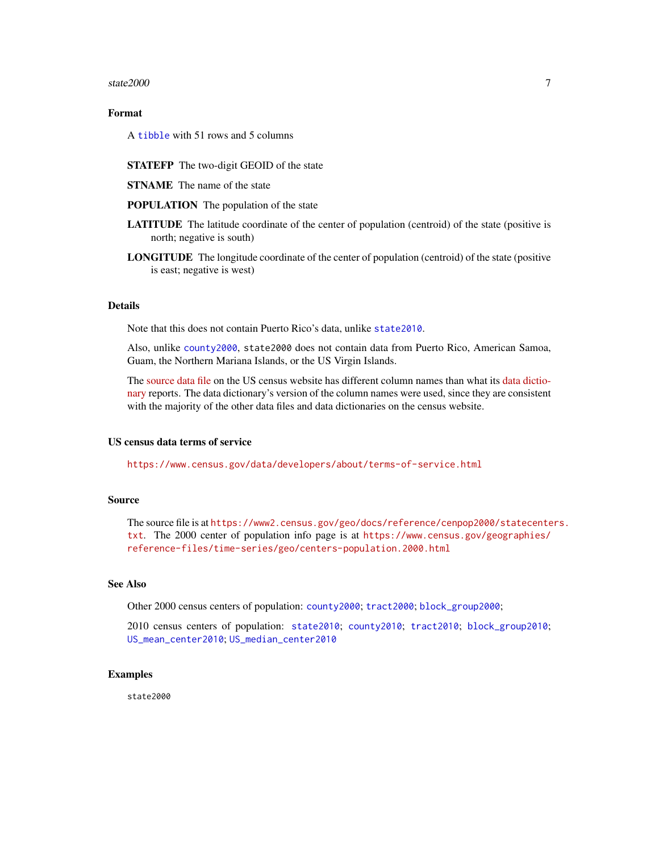#### <span id="page-6-0"></span>state2000 7

### Format

A [tibble](#page-0-0) with 51 rows and 5 columns

- STATEFP The two-digit GEOID of the state
- STNAME The name of the state
- POPULATION The population of the state
- LATITUDE The latitude coordinate of the center of population (centroid) of the state (positive is north; negative is south)
- LONGITUDE The longitude coordinate of the center of population (centroid) of the state (positive is east; negative is west)

#### Details

Note that this does not contain Puerto Rico's data, unlike [state2010](#page-7-1).

Also, unlike [county2000](#page-3-1), state2000 does not contain data from Puerto Rico, American Samoa, Guam, the Northern Mariana Islands, or the US Virgin Islands.

The [source data file](https://www2.census.gov/geo/docs/reference/cenpop2000/statecenters.txt) on the US census website has different column names than what its [data dictio](https://www.census.gov/geographies/reference-files/time-series/geo/centers-population.2000.html)[nary](https://www.census.gov/geographies/reference-files/time-series/geo/centers-population.2000.html) reports. The data dictionary's version of the column names were used, since they are consistent with the majority of the other data files and data dictionaries on the census website.

#### US census data terms of service

<https://www.census.gov/data/developers/about/terms-of-service.html>

#### Source

The source file is at [https://www2.census.gov/geo/docs/reference/cenpop2000/statecente](https://www2.census.gov/geo/docs/reference/cenpop2000/statecenters.txt)rs. [txt](https://www2.census.gov/geo/docs/reference/cenpop2000/statecenters.txt). The 2000 center of population info page is at [https://www.census.gov/geographies/](https://www.census.gov/geographies/reference-files/time-series/geo/centers-population.2000.html) [reference-files/time-series/geo/centers-population.2000.html](https://www.census.gov/geographies/reference-files/time-series/geo/centers-population.2000.html)

#### See Also

Other 2000 census centers of population: [county2000](#page-3-1); [tract2000](#page-8-1); [block\\_group2000](#page-1-1);

2010 census centers of population: [state2010](#page-7-1); [county2010](#page-4-1); [tract2010](#page-9-1); [block\\_group2010](#page-2-1); [US\\_mean\\_center2010](#page-10-1); [US\\_median\\_center2010](#page-11-1)

### Examples

state2000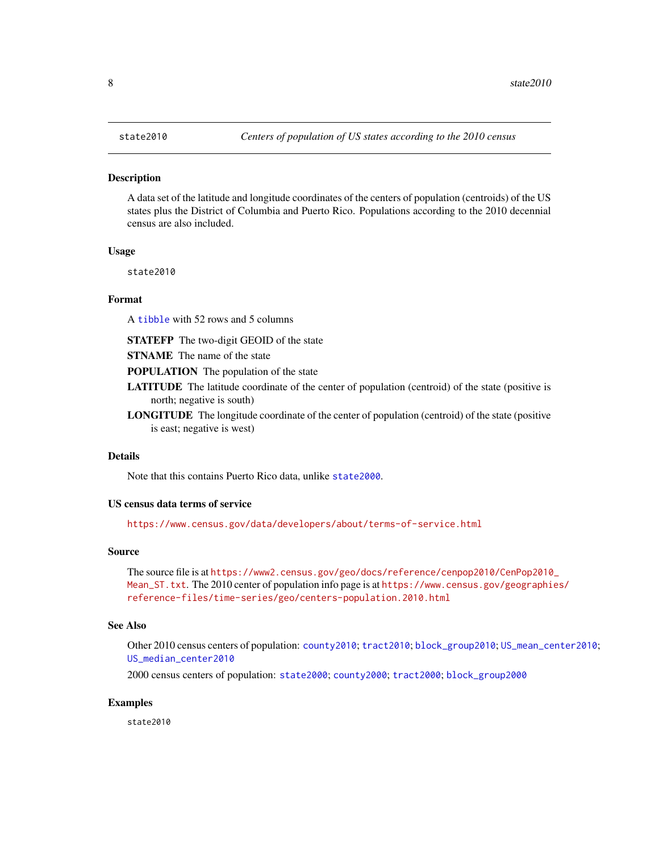#### <span id="page-7-1"></span><span id="page-7-0"></span>Description

A data set of the latitude and longitude coordinates of the centers of population (centroids) of the US states plus the District of Columbia and Puerto Rico. Populations according to the 2010 decennial census are also included.

#### Usage

state2010

#### Format

A [tibble](#page-0-0) with 52 rows and 5 columns

STATEFP The two-digit GEOID of the state

STNAME The name of the state

POPULATION The population of the state

- LATITUDE The latitude coordinate of the center of population (centroid) of the state (positive is north; negative is south)
- LONGITUDE The longitude coordinate of the center of population (centroid) of the state (positive is east; negative is west)

#### Details

Note that this contains Puerto Rico data, unlike [state2000](#page-5-1).

#### US census data terms of service

<https://www.census.gov/data/developers/about/terms-of-service.html>

#### Source

The source file is at [https://www2.census.gov/geo/docs/reference/cenpop2010/CenPop2010](https://www2.census.gov/geo/docs/reference/cenpop2010/CenPop2010_Mean_ST.txt)\_ [Mean\\_ST.txt](https://www2.census.gov/geo/docs/reference/cenpop2010/CenPop2010_Mean_ST.txt). The 2010 center of population info page is at [https://www.census.gov/geographi](https://www.census.gov/geographies/reference-files/time-series/geo/centers-population.2010.html)es/ [reference-files/time-series/geo/centers-population.2010.html](https://www.census.gov/geographies/reference-files/time-series/geo/centers-population.2010.html)

#### See Also

Other 2010 census centers of population: [county2010](#page-4-1); [tract2010](#page-9-1); [block\\_group2010](#page-2-1); [US\\_mean\\_center2010](#page-10-1); [US\\_median\\_center2010](#page-11-1)

2000 census centers of population: [state2000](#page-5-1); [county2000](#page-3-1); [tract2000](#page-8-1); [block\\_group2000](#page-1-1)

#### Examples

state2010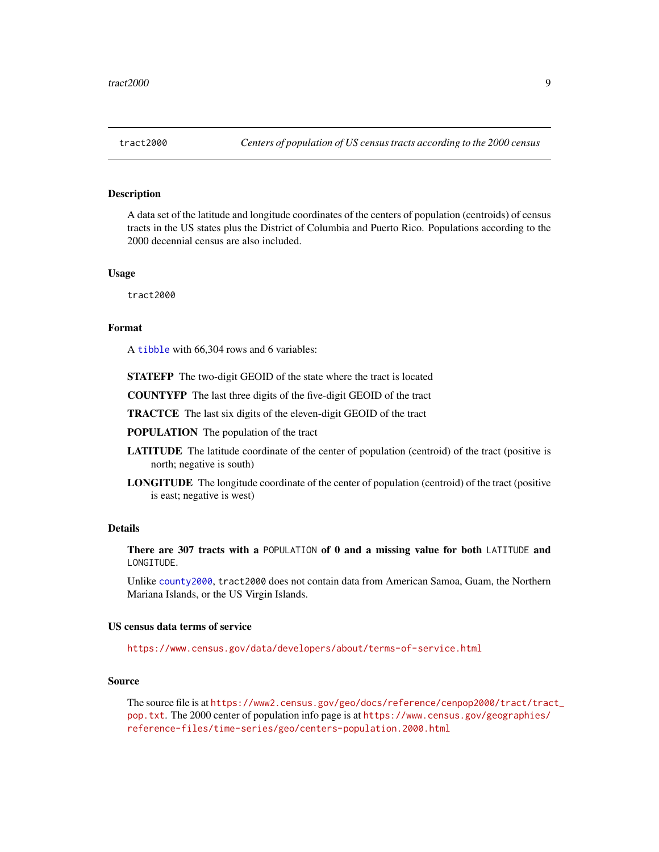#### <span id="page-8-1"></span><span id="page-8-0"></span>**Description**

A data set of the latitude and longitude coordinates of the centers of population (centroids) of census tracts in the US states plus the District of Columbia and Puerto Rico. Populations according to the 2000 decennial census are also included.

#### Usage

tract2000

#### Format

A [tibble](#page-0-0) with 66,304 rows and 6 variables:

STATEFP The two-digit GEOID of the state where the tract is located

COUNTYFP The last three digits of the five-digit GEOID of the tract

TRACTCE The last six digits of the eleven-digit GEOID of the tract

POPULATION The population of the tract

- LATITUDE The latitude coordinate of the center of population (centroid) of the tract (positive is north; negative is south)
- LONGITUDE The longitude coordinate of the center of population (centroid) of the tract (positive is east; negative is west)

#### Details

There are 307 tracts with a POPULATION of 0 and a missing value for both LATITUDE and LONGITUDE.

Unlike [county2000](#page-3-1), tract2000 does not contain data from American Samoa, Guam, the Northern Mariana Islands, or the US Virgin Islands.

#### US census data terms of service

<https://www.census.gov/data/developers/about/terms-of-service.html>

#### Source

The source file is at [https://www2.census.gov/geo/docs/reference/cenpop2000/tract/trac](https://www2.census.gov/geo/docs/reference/cenpop2000/tract/tract_pop.txt)t\_ [pop.txt](https://www2.census.gov/geo/docs/reference/cenpop2000/tract/tract_pop.txt). The 2000 center of population info page is at [https://www.census.gov/geographies/](https://www.census.gov/geographies/reference-files/time-series/geo/centers-population.2000.html) [reference-files/time-series/geo/centers-population.2000.html](https://www.census.gov/geographies/reference-files/time-series/geo/centers-population.2000.html)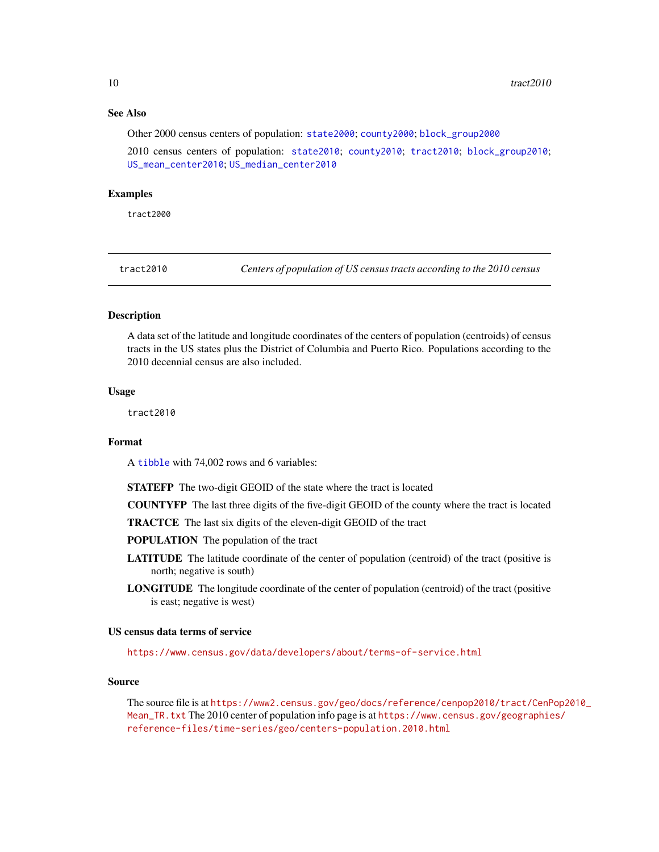#### <span id="page-9-0"></span>See Also

Other 2000 census centers of population: [state2000](#page-5-1); [county2000](#page-3-1); [block\\_group2000](#page-1-1)

2010 census centers of population: [state2010](#page-7-1); [county2010](#page-4-1); [tract2010](#page-9-1); [block\\_group2010](#page-2-1); [US\\_mean\\_center2010](#page-10-1); [US\\_median\\_center2010](#page-11-1)

#### Examples

tract2000

<span id="page-9-1"></span>tract2010 *Centers of population of US census tracts according to the 2010 census*

#### **Description**

A data set of the latitude and longitude coordinates of the centers of population (centroids) of census tracts in the US states plus the District of Columbia and Puerto Rico. Populations according to the 2010 decennial census are also included.

#### Usage

tract2010

#### Format

A [tibble](#page-0-0) with 74,002 rows and 6 variables:

STATEFP The two-digit GEOID of the state where the tract is located

COUNTYFP The last three digits of the five-digit GEOID of the county where the tract is located

TRACTCE The last six digits of the eleven-digit GEOID of the tract

POPULATION The population of the tract

- LATITUDE The latitude coordinate of the center of population (centroid) of the tract (positive is north; negative is south)
- LONGITUDE The longitude coordinate of the center of population (centroid) of the tract (positive is east; negative is west)

#### US census data terms of service

<https://www.census.gov/data/developers/about/terms-of-service.html>

#### Source

The source file is at [https://www2.census.gov/geo/docs/reference/cenpop2010/tract/CenP](https://www2.census.gov/geo/docs/reference/cenpop2010/tract/CenPop2010_Mean_TR.txt)op2010\_ [Mean\\_TR.txt](https://www2.census.gov/geo/docs/reference/cenpop2010/tract/CenPop2010_Mean_TR.txt) The 2010 center of population info page is at [https://www.census.gov/geographie](https://www.census.gov/geographies/reference-files/time-series/geo/centers-population.2010.html)s/ [reference-files/time-series/geo/centers-population.2010.html](https://www.census.gov/geographies/reference-files/time-series/geo/centers-population.2010.html)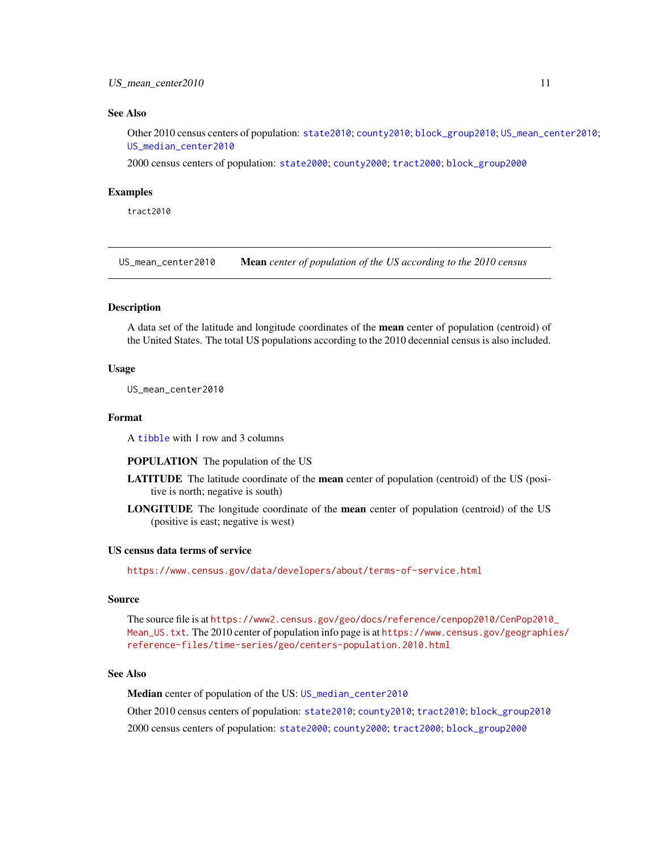#### <span id="page-10-0"></span>See Also

Other 2010 census centers of population: [state2010](#page-7-1); [county2010](#page-4-1); [block\\_group2010](#page-2-1); [US\\_mean\\_center2010](#page-10-1); [US\\_median\\_center2010](#page-11-1)

2000 census centers of population: [state2000](#page-5-1); [county2000](#page-3-1); [tract2000](#page-8-1); [block\\_group2000](#page-1-1)

#### Examples

tract2010

<span id="page-10-1"></span>US\_mean\_center2010 Mean *center of population of the US according to the 2010 census*

#### **Description**

A data set of the latitude and longitude coordinates of the mean center of population (centroid) of the United States. The total US populations according to the 2010 decennial census is also included.

#### Usage

US\_mean\_center2010

#### Format

A [tibble](#page-0-0) with 1 row and 3 columns

#### POPULATION The population of the US

- LATITUDE The latitude coordinate of the mean center of population (centroid) of the US (positive is north; negative is south)
- LONGITUDE The longitude coordinate of the mean center of population (centroid) of the US (positive is east; negative is west)

#### US census data terms of service

<https://www.census.gov/data/developers/about/terms-of-service.html>

#### Source

The source file is at [https://www2.census.gov/geo/docs/reference/cenpop2010/CenPop2010](https://www2.census.gov/geo/docs/reference/cenpop2010/CenPop2010_Mean_US.txt)\_ [Mean\\_US.txt](https://www2.census.gov/geo/docs/reference/cenpop2010/CenPop2010_Mean_US.txt). The 2010 center of population info page is at [https://www.census.gov/geographi](https://www.census.gov/geographies/reference-files/time-series/geo/centers-population.2010.html)es/ [reference-files/time-series/geo/centers-population.2010.html](https://www.census.gov/geographies/reference-files/time-series/geo/centers-population.2010.html)

#### See Also

Median center of population of the US: [US\\_median\\_center2010](#page-11-1)

Other 2010 census centers of population: [state2010](#page-7-1); [county2010](#page-4-1); [tract2010](#page-9-1); [block\\_group2010](#page-2-1) 2000 census centers of population: [state2000](#page-5-1); [county2000](#page-3-1); [tract2000](#page-8-1); [block\\_group2000](#page-1-1)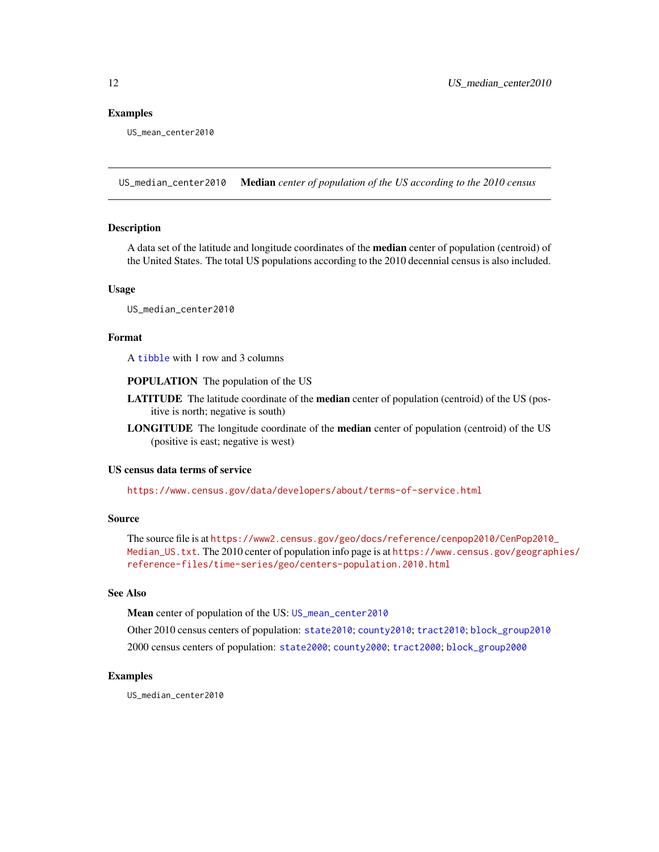#### <span id="page-11-0"></span>Examples

US\_mean\_center2010

<span id="page-11-1"></span>US\_median\_center2010 Median *center of population of the US according to the 2010 census*

#### Description

A data set of the latitude and longitude coordinates of the **median** center of population (centroid) of the United States. The total US populations according to the 2010 decennial census is also included.

#### Usage

US\_median\_center2010

#### Format

A [tibble](#page-0-0) with 1 row and 3 columns

POPULATION The population of the US

- LATITUDE The latitude coordinate of the median center of population (centroid) of the US (positive is north; negative is south)
- LONGITUDE The longitude coordinate of the median center of population (centroid) of the US (positive is east; negative is west)

#### US census data terms of service

<https://www.census.gov/data/developers/about/terms-of-service.html>

#### Source

The source file is at [https://www2.census.gov/geo/docs/reference/cenpop2010/CenPop2010](https://www2.census.gov/geo/docs/reference/cenpop2010/CenPop2010_Median_US.txt)\_ [Median\\_US.txt](https://www2.census.gov/geo/docs/reference/cenpop2010/CenPop2010_Median_US.txt). The 2010 center of population info page is at [https://www.census.gov/geograp](https://www.census.gov/geographies/reference-files/time-series/geo/centers-population.2010.html)hies/ [reference-files/time-series/geo/centers-population.2010.html](https://www.census.gov/geographies/reference-files/time-series/geo/centers-population.2010.html)

#### See Also

Mean center of population of the US: [US\\_mean\\_center2010](#page-10-1)

Other 2010 census centers of population: [state2010](#page-7-1); [county2010](#page-4-1); [tract2010](#page-9-1); [block\\_group2010](#page-2-1) 2000 census centers of population: [state2000](#page-5-1); [county2000](#page-3-1); [tract2000](#page-8-1); [block\\_group2000](#page-1-1)

#### Examples

US\_median\_center2010